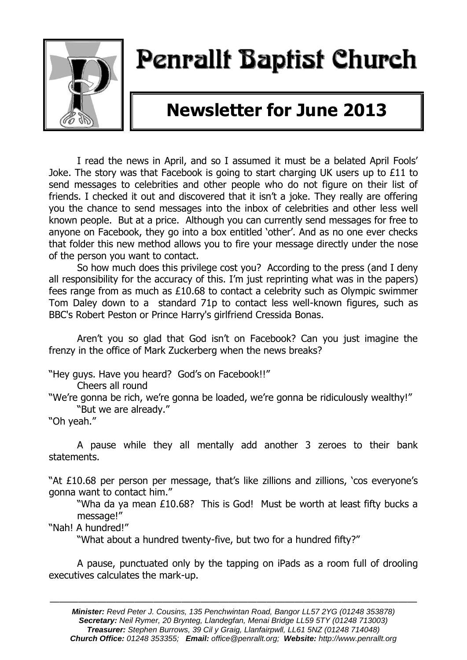

# Penrallt Baptist Church

# **Newsletter for June 2013**

I read the news in April, and so I assumed it must be a belated April Fools' Joke. The story was that Facebook is going to start charging UK users up to £11 to send messages to celebrities and other people who do not figure on their list of friends. I checked it out and discovered that it isn't a joke. They really are offering you the chance to send messages into the inbox of celebrities and other less well known people. But at a price. Although you can currently send messages for free to anyone on Facebook, they go into a box entitled 'other'. And as no one ever checks that folder this new method allows you to fire your message directly under the nose of the person you want to contact.

So how much does this privilege cost you? According to the press (and I deny all responsibility for the accuracy of this. I'm just reprinting what was in the papers) fees range from as much as £10.68 to contact a celebrity such as Olympic swimmer Tom Daley down to a standard 71p to contact less well-known figures, such as BBC's Robert Peston or Prince Harry's girlfriend Cressida Bonas.

Aren't you so glad that God isn't on Facebook? Can you just imagine the frenzy in the office of Mark Zuckerberg when the news breaks?

"Hey guys. Have you heard? God's on Facebook!!"

Cheers all round

"We're gonna be rich, we're gonna be loaded, we're gonna be ridiculously wealthy!" "But we are already."

"Oh yeah."

A pause while they all mentally add another 3 zeroes to their bank statements.

"At £10.68 per person per message, that's like zillions and zillions, 'cos everyone's gonna want to contact him."

"Wha da ya mean £10.68? This is God! Must be worth at least fifty bucks a message!"

"Nah! A hundred!"

"What about a hundred twenty-five, but two for a hundred fifty?"

A pause, punctuated only by the tapping on iPads as a room full of drooling executives calculates the mark-up.

———————————————————————————————————————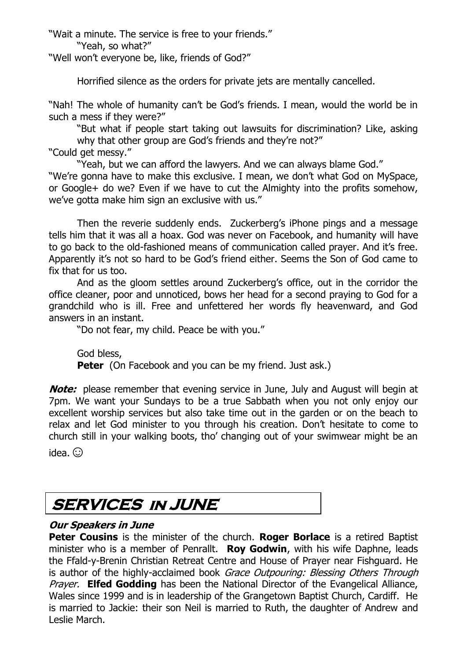"Wait a minute. The service is free to your friends."

"Yeah, so what?"

"Well won't everyone be, like, friends of God?"

Horrified silence as the orders for private jets are mentally cancelled.

"Nah! The whole of humanity can't be God's friends. I mean, would the world be in such a mess if they were?"

"But what if people start taking out lawsuits for discrimination? Like, asking why that other group are God's friends and they're not?"

"Could get messy."

"Yeah, but we can afford the lawyers. And we can always blame God."

"We're gonna have to make this exclusive. I mean, we don't what God on MySpace, or Google+ do we? Even if we have to cut the Almighty into the profits somehow, we've gotta make him sign an exclusive with us."

Then the reverie suddenly ends. Zuckerberg's iPhone pings and a message tells him that it was all a hoax. God was never on Facebook, and humanity will have to go back to the old-fashioned means of communication called prayer. And it's free. Apparently it's not so hard to be God's friend either. Seems the Son of God came to fix that for us too.

And as the gloom settles around Zuckerberg's office, out in the corridor the office cleaner, poor and unnoticed, bows her head for a second praying to God for a grandchild who is ill. Free and unfettered her words fly heavenward, and God answers in an instant.

"Do not fear, my child. Peace be with you."

God bless, **Peter** (On Facebook and you can be my friend. Just ask.)

**Note:** please remember that evening service in June, July and August will begin at 7pm. We want your Sundays to be a true Sabbath when you not only enjoy our excellent worship services but also take time out in the garden or on the beach to relax and let God minister to you through his creation. Don't hesitate to come to church still in your walking boots, tho' changing out of your swimwear might be an

idea.  $\odot$ 

# **SERVICES in JUNE**

### **Our Speakers in June**

**Peter Cousins** is the minister of the church. **Roger Borlace** is a retired Baptist minister who is a member of Penrallt. **Roy Godwin**, with his wife Daphne, leads the Ffald-y-Brenin Christian Retreat Centre and House of Prayer near Fishguard. He is author of the highly-acclaimed book Grace Outpouring: Blessing Others Through Prayer. **Elfed Godding** has been the National Director of the Evangelical Alliance, Wales since 1999 and is in leadership of the Grangetown Baptist Church, Cardiff. He is married to Jackie: their son Neil is married to Ruth, the daughter of Andrew and Leslie March.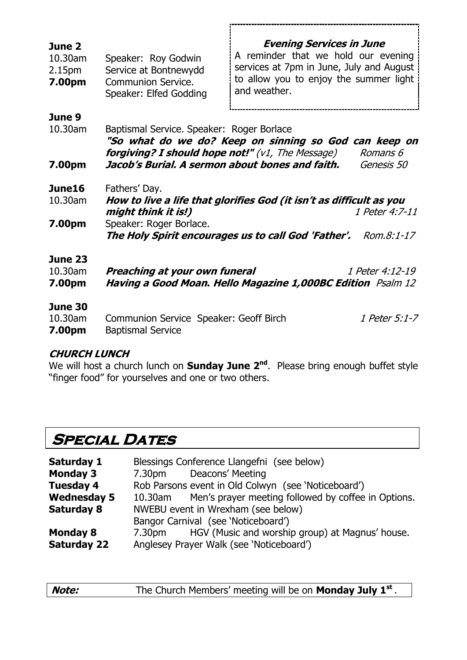| June 2<br>10.30am<br>2.15pm<br>7.00pm | Speaker: Roy Godwin<br>Service at Bontnewydd<br><b>Communion Service.</b><br>Speaker: Elfed Godding                                                                                           | <b>Evening Services in June</b><br>A reminder that we hold our evening<br>services at 7pm in June, July and August<br>to allow you to enjoy the summer light<br>and weather. |                              |
|---------------------------------------|-----------------------------------------------------------------------------------------------------------------------------------------------------------------------------------------------|------------------------------------------------------------------------------------------------------------------------------------------------------------------------------|------------------------------|
| June 9<br>10.30am<br>7.00pm           | Baptismal Service. Speaker: Roger Borlace<br><b>forgiving? I should hope not!"</b> (v1, The Message)<br>Jacob's Burial. A sermon about bones and faith.                                       | "So what do we do? Keep on sinning so God can keep on                                                                                                                        | Romans 6<br>Genesis 50       |
| June16<br>10.30am<br>7.00pm           | Fathers' Day.<br>How to live a life that glorifies God (it isn't as difficult as you<br>might think it is!)<br>Speaker: Roger Borlace.<br>The Holy Spirit encourages us to call God 'Father'. |                                                                                                                                                                              | 1 Peter 4:7-11<br>Rom.8:1-17 |
| June 23<br>10.30am<br>7.00pm          | Preaching at your own funeral<br>Having a Good Moan. Hello Magazine 1,000BC Edition Psalm 12                                                                                                  |                                                                                                                                                                              | 1 Peter 4:12-19              |
| June 30<br>10.30am<br>7.00pm          | Communion Service Speaker: Geoff Birch<br><b>Baptismal Service</b>                                                                                                                            |                                                                                                                                                                              | 1 Peter 5:1-7                |

#### **CHURCH LUNCH**

We will host a church lunch on **Sunday June 2nd**. Please bring enough buffet style "finger food" for yourselves and one or two others.

# **SPECIAL DATES**

| Saturday 1         | Blessings Conference Llangefni (see below)          |                                                        |  |
|--------------------|-----------------------------------------------------|--------------------------------------------------------|--|
| <b>Monday 3</b>    |                                                     | 7.30pm Deacons' Meeting                                |  |
| <b>Tuesday 4</b>   | Rob Parsons event in Old Colwyn (see 'Noticeboard') |                                                        |  |
| <b>Wednesday 5</b> | 10.30am                                             | Men's prayer meeting followed by coffee in Options.    |  |
| <b>Saturday 8</b>  | NWEBU event in Wrexham (see below)                  |                                                        |  |
|                    | Bangor Carnival (see 'Noticeboard')                 |                                                        |  |
| <b>Monday 8</b>    |                                                     | 7.30pm HGV (Music and worship group) at Magnus' house. |  |
| <b>Saturday 22</b> | Anglesey Prayer Walk (see 'Noticeboard')            |                                                        |  |
|                    |                                                     |                                                        |  |

| Note: | The Church Members' meeting will be on <b>Monday July 1st</b> . |
|-------|-----------------------------------------------------------------|
|-------|-----------------------------------------------------------------|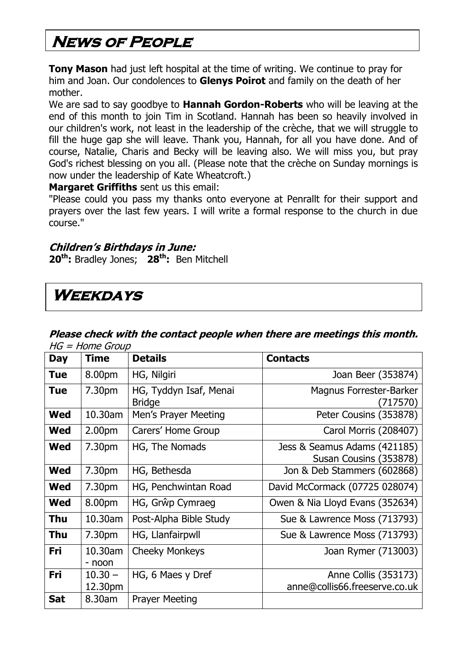# **News of People**

**Tony Mason** had just left hospital at the time of writing. We continue to pray for him and Joan. Our condolences to **Glenys Poirot** and family on the death of her mother.

We are sad to say goodbye to **Hannah Gordon-Roberts** who will be leaving at the end of this month to join Tim in Scotland. Hannah has been so heavily involved in our children's work, not least in the leadership of the crèche, that we will struggle to fill the huge gap she will leave. Thank you, Hannah, for all you have done. And of course, Natalie, Charis and Becky will be leaving also. We will miss you, but pray God's richest blessing on you all. (Please note that the crèche on Sunday mornings is now under the leadership of Kate Wheatcroft.)

#### **Margaret Griffiths** sent us this email:

"Please could you pass my thanks onto everyone at Penrallt for their support and prayers over the last few years. I will write a formal response to the church in due course."

#### **Children's Birthdays in June:**

**20th:** Bradley Jones; **28th:** Ben Mitchell

## **Weekdays**

#### **Please check with the contact people when there are meetings this month.**   $HG = Home$  Group

| <b>Day</b> | <b>Time</b>          | <b>Details</b>                          | <b>Contacts</b>                                        |
|------------|----------------------|-----------------------------------------|--------------------------------------------------------|
| <b>Tue</b> | 8.00pm               | HG, Nilgiri                             | Joan Beer (353874)                                     |
| <b>Tue</b> | 7.30pm               | HG, Tyddyn Isaf, Menai<br><b>Bridge</b> | <b>Magnus Forrester-Barker</b><br>(717570)             |
| <b>Wed</b> | 10.30am              | Men's Prayer Meeting                    | Peter Cousins (353878)                                 |
| Wed        | 2.00 <sub>pm</sub>   | Carers' Home Group                      | Carol Morris (208407)                                  |
| <b>Wed</b> | 7.30pm               | HG, The Nomads                          | Jess & Seamus Adams (421185)<br>Susan Cousins (353878) |
| <b>Wed</b> | 7.30pm               | HG, Bethesda                            | Jon & Deb Stammers (602868)                            |
| <b>Wed</b> | 7.30pm               | HG, Penchwintan Road                    | David McCormack (07725 028074)                         |
| <b>Wed</b> | 8.00pm               | HG, Grŵp Cymraeg                        | Owen & Nia Lloyd Evans (352634)                        |
| Thu        | 10.30am              | Post-Alpha Bible Study                  | Sue & Lawrence Moss (713793)                           |
| Thu        | 7.30pm               | HG, Llanfairpwll                        | Sue & Lawrence Moss (713793)                           |
| Fri        | 10.30am<br>- noon    | <b>Cheeky Monkeys</b>                   | Joan Rymer (713003)                                    |
| Fri        | $10.30 -$<br>12.30pm | HG, 6 Maes y Dref                       | Anne Collis (353173)<br>anne@collis66.freeserve.co.uk  |
| <b>Sat</b> | 8.30am               | <b>Prayer Meeting</b>                   |                                                        |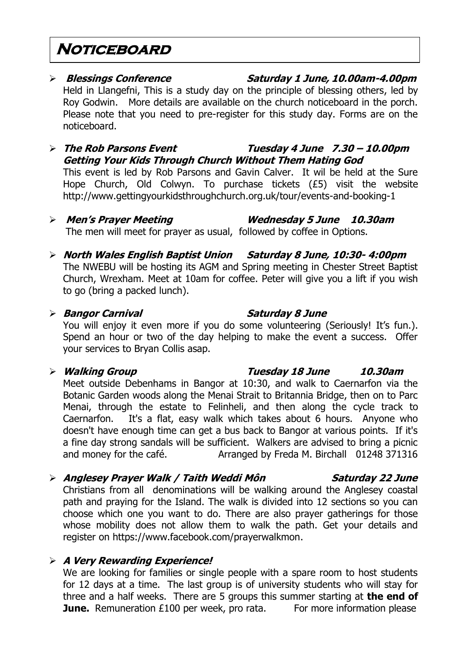### **Noticeboard**

# **Blessings Conference Saturday 1 June, 10.00am-4.00pm**

Held in Llangefni, This is a study day on the principle of blessing others, led by Roy Godwin. More details are available on the church noticeboard in the porch. Please note that you need to pre-register for this study day. Forms are on the noticeboard.

#### **The Rob Parsons Event Tuesday 4 June 7.30 – 10.00pm Getting Your Kids Through Church Without Them Hating God** This event is led by Rob Parsons and Gavin Calver. It wil be held at the Sure Hope Church, Old Colwyn. To purchase tickets (£5) visit the website <http://www.gettingyourkidsthroughchurch.org.uk/tour/events-and-booking-1>

- **Men's Prayer Meeting Wednesday 5 June 10.30am** The men will meet for prayer as usual, followed by coffee in Options.
- **North Wales English Baptist Union Saturday 8 June, 10:30- 4:00pm** The NWEBU will be hosting its AGM and Spring meeting in Chester Street Baptist Church, Wrexham. Meet at 10am for coffee. Peter will give you a lift if you wish to go (bring a packed lunch).

#### **Bangor Carnival Saturday 8 June**

You will enjoy it even more if you do some volunteering (Seriously! It's fun.). Spend an hour or two of the day helping to make the event a success. Offer your services to Bryan Collis asap.

### **Walking Group Tuesday 18 June 10.30am**

Meet outside Debenhams in Bangor at 10:30, and walk to Caernarfon via the Botanic Garden woods along the Menai Strait to Britannia Bridge, then on to Parc Menai, through the estate to Felinheli, and then along the cycle track to Caernarfon. It's a flat, easy walk which takes about 6 hours. Anyone who doesn't have enough time can get a bus back to Bangor at various points. If it's a fine day strong sandals will be sufficient. Walkers are advised to bring a picnic and money for the café. Arranged by Freda M. Birchall 01248 371316

### **Anglesey Prayer Walk / Taith Weddi Môn Saturday 22 June**

Christians from all denominations will be walking around the Anglesey coastal path and praying for the Island. The walk is divided into 12 sections so you can choose which one you want to do. There are also prayer gatherings for those whose mobility does not allow them to walk the path. Get your details and register on [https://www.facebook.com/prayerwalkmon.](https://www.facebook.com/prayerwalkmon)

### **A Very Rewarding Experience!**

We are looking for families or single people with a spare room to host students for 12 days at a time. The last group is of university students who will stay for three and a half weeks. There are 5 groups this summer starting at **the end of June.** Remuneration £100 per week, pro rata. For more information please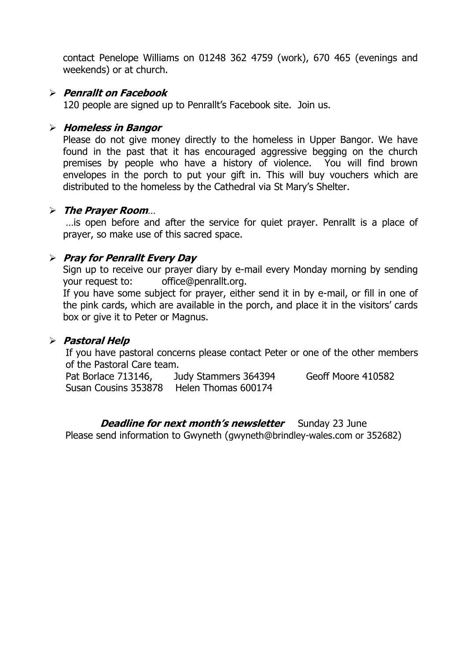contact Penelope Williams on 01248 362 4759 (work), 670 465 (evenings and weekends) or at church.

#### **Penrallt on Facebook**

120 people are signed up to Penrallt's Facebook site. Join us.

#### **Homeless in Bangor**

Please do not give money directly to the homeless in Upper Bangor. We have found in the past that it has encouraged aggressive begging on the church premises by people who have a history of violence. You will find brown envelopes in the porch to put your gift in. This will buy vouchers which are distributed to the homeless by the Cathedral via St Mary's Shelter.

#### **The Prayer Room**…

…is open before and after the service for quiet prayer. Penrallt is a place of prayer, so make use of this sacred space.

#### **Pray for Penrallt Every Day**

Sign up to receive our prayer diary by e-mail every Monday morning by sending your request to: [office@penrallt.org.](mailto:office@penrallt.org)

If you have some subject for prayer, either send it in by e-mail, or fill in one of the pink cards, which are available in the porch, and place it in the visitors' cards box or give it to Peter or Magnus.

#### **Pastoral Help**

If you have pastoral concerns please contact Peter or one of the other members of the Pastoral Care team.

Pat Borlace 713146, Judy Stammers 364394 Geoff Moore 410582 Susan Cousins 353878 Helen Thomas 600174

#### **Deadline for next month's newsletter** Sunday 23 June

Please send information to Gwyneth ([gwyneth@brindley-wales.com](mailto:gwyneth@brindley-wales.com) or 352682)